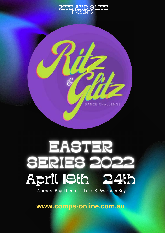



### EASTER SERIES 202 April 18th - 24th

Warners Bay Theatre - Lake St Warners Bay

**www.comps-online.com.au**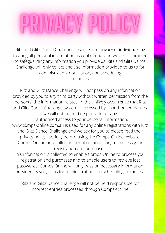Ritz and Glitz Dance Challenge respects the privacy of individuals by treating all personal information as confidential and we are committed to safeguarding any information you provide us. Ritz and Glitz Dance Challenge will only collect and use information provided to us to for administration, notification, and scheduling purposes.

Ritz and Glitz Dance Challenge will not pass on any information provided by you to any third party without written permission from the person(s) the information relates. In the unlikely occurrence that Ritz and Glitz Dance Challenge system is accessed by unauthorised parties, we will not be held responsible for any unauthorised access to your personal information. www.comps-online.com.au is used for any online registrations with Ritz and Glitz Dance Challenge and we ask for you to please read their privacy policy carefully before using the Comps-Online website. Comps-Online only collect information necessary to process your registration and purchases.

This information is collected to enable Comps-Online to process your registration and purchases and to enable users to retrieve lost passwords. Comps-Online will only pass on necessary information provided by you, to us for administration and scheduling purposes.

Ritz and Glitz Dance challenge will not be held responsible for incorrect entries processed through Comps-Online.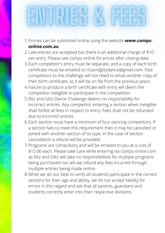# NRES C

- Entries can be submitted online using the website **www.comps-**1. **online.com.au**
- Late entries are accepted but there is an additional charge of \$10 2. per entry. Please see comps online for prices after closing date.
- Each competitor's entry must be separate, and a copy of each birth 3. certificate must be emailed to ritzandglitzdance@gmail.com. Past competitors to the challenge will not need to email another copy of their birth certificate, as it will be on file from the previous years.
- Failure to produce a birth certificate with entry will deem the 4. competitor ineligible to participate in the competition.
- 5. Ritz and Glitz Dance Challenge deems no responsibility for incorrect entries. Any competitor entering a section when ineligible shall forfeit all fees in respect to entry. Fees shall not be refunded due to incorrect entries.
- Each section must have a minimum of four dancing competitors. If 6. a section fails to meet this requirement then it may be cancelled or joined with another section of its type. In the case of section cancellation a refund will be provided.
- Programs are compulsory and will be emailed to you at a cost of 7. \$12.00 each. Please take care while entering via comps-online.com as Ritz and Glitz will take no responsibilities for multiple programs being purchased nor will we refund any fees incurred through multiple entries being made online.
- While we do our best to verify all students participate in the correct 8.sections for their age and ability, we do not accept liability for errors in this regard and ask that all parents, guardians and students correctly enter into their respective divisions.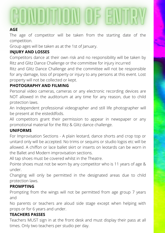## CONDITION OF ENTRY

#### **AGE**

The age of competitor will be taken from the starting date of the competition.

Group ages will be taken as at the 1st of January.

#### **INJURY AND LOSSES**

Competitors dance at their own risk and no responsibility will be taken by Ritz and Glitz Dance Challenge or the committee for injury incurred

Ritz and Glitz Dance Challenge and the committee will not be responsible for any damage, loss of property or injury to any persons at this event. Lost property will not be collected or kept.

#### **PHOTOGRAPHY AND FILMING**

Personal video cameras, cameras or any electronic recording devices are NOT allowed in the auditorium at any time for any reason, due to child protection laws.

An Independent professional videographer and still life photographer will be present at the eisteddfods.

All competitors grant their permission to appear in newspaper or any promotional material for the Ritz & Glitz dance challenge.

#### **UNIFORMS**

For Improvisation Sections - A plain leotard, dance shorts and crop top or unitard only will be accepted. No trims or sequins or studio logos etc will be allowed. A chiffon or lace ballet skirt or inserts on leotards can be worn in the Ballet and Modern improvisation sections.

All tap shoes must be covered whilst in the Theatre.

Pointe shoes must not be worn by any competitor who is 11 years of age & under.

Changing will only be permitted in the designated areas due to child protection laws.

#### **PROMPTING**

Prompting from the wings will not be permitted from age group 7 years and

No parents or teachers are aloud side stage except when helping with props or for 6 years and under.

#### **TEACHERS PASSES**

Teachers MUST sign in at the front desk and must display their pass at all times. Only two teachers per studio per day.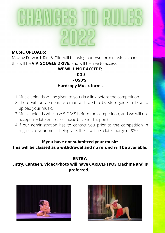# CHANGES TO RULE

#### **MUSIC UPLOADS:**

Moving Forward, Ritz & Glitz will be using our own form music uploads. this will be **VIA GOOGLE DRIVE.** and will be free to access.

#### **WE WILL NOT ACCEPT:**

### **- CD'S**

**- USB'S**

#### **- Hardcopy Music forms.**

- Music uploads will be given to you via a link before the competition. 1.
- 2.There will be a separate email with a step by step guide in how to upload your music.
- Music uploads will close 5 DAYS before the competition, and we will not 3. accept any late entries or music beyond this point.
- 4.If our administration has to contact you prior to the competition in regards to your music being late, there will be a late charge of \$20.

#### **if you have not submitted your music:**

**this will be classed as a withdrawal and no refund will be available.**

#### **ENTRY:**

**Entry, Canteen, Video/Photo will have CARD/EFTPOS Machine and is preferred.** 



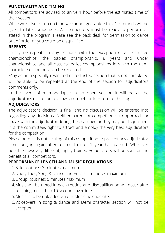#### **PUNCTUALITY AND TIMING**

All competitors are advised to arrive 1 hour before the estimated time of their section.

While we strive to run on time we cannot guarantee this. No refunds will be given to late competitors. All competitors must be ready to perform as stated in the program. Please see the back desk for permission to dance out of order or you could be disqualified.

#### **REPEATS**

strictly no repeats in any sections with the exception of all restricted championships, the babies championship, 8 years and under championships and all classical ballet championships in which the demi character section only can be repeated.

•Any act in a specially restricted or restricted section that is not completed will be able to be repeated at the end of the section for adjudicators comments only.

In the event of memory lapse in an open section it will be at the adjudicator's discretion to allow a competitor to return to the stage.

#### **ADJUDICATORS**

The adjudicator's decision is final, and no discussion will be entered into regarding any decisions. Neither parent of competitor is to approach or speak with the adjudicator during the challenge or they may be disqualified It is the committees right to attract and employ the very best adjudicators for the competition.

Please note - it is not a ruling of this competition to prevent any adjudicator from judging again after a time limit of 1 year has passed. Wherever possible however, different, highly trained Adjudicators will be sort for the benefit of all competitors.

#### **PERFORMANCE LENGTH AND MUSIC REGULATIONS**

- 1. Solo routines: 3 minutes maximum
- 2. Duos, Trios, Song & Dance and Vocals: 4 minutes maximum
- Group Routines: 5 minutes maximum 3.
- Music will be timed in each routine and disqualification will occur after 4. reaching more than 10 seconds overtime
- Music is to be uploaded via our Music uploads site. 5.
- Voiceovers in song & dance and Demi character section will not be 6.accepted.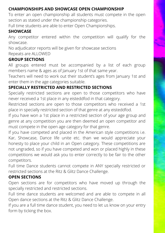#### **CHAMPIONSHIPS AND SHOWCASE OPEN CHAMPIONSHIP**

To enter an open championship all students must compete in the open section as stated under the championship categories.

Full time students are able to enter Open Championships.

#### **SHOWCASE**

Any competitor entered within the competition will qualify for the showcase.

No adjudicator reports will be given for showcase sections

#### Repeats are ALLOWED

#### **GROUP SECTIONS**

All groups entered must be accompanied by a list of each group members name & ages as of January 1st of that same year.

Teachers will need to work out their student's ages from January 1st and enter them in the age categories suitable.

#### **SPECIALLY RESTRICTED AND RESTRICTED SECTIONS**

Specially restricted sections are open to those competitors who have never received a 1st place in any eisteddfod in that category.

Restricted sections are open to those competitors who received a 1st place in specially restricted section of that genre at any eisteddfod.

If you have won a 1st place in a restricted section of your age group and genre at any competition you are then deemed an open competitor and must compete in the open age category for that genre.

If you have competed and placed in the American style competitions i.e. Kar, Showcase, Dance life unite etc. than we would appreciate your honesty to place your child in an Open category. These competitions are not ungraded, so if you have competed and won or placed highly in these competitions we would ask you to enter correctly to be fair to the other competitors.

Full time Dance students cannot compete in ANY specially restricted or restricted sections at the Ritz & Glitz Dance Challenge.

#### **OPEN SECTIONS**

Open sections are for competitors who have moved up through the specially restricted and restricted sections.

Full time dance students are welcomed and are able to compete in all Open dance sections at the Ritz & Glitz Dance Challenge.

If you are a full time dance student, you need to let us know on your entry form by ticking the box.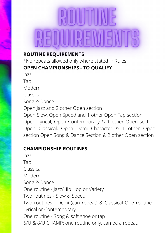## ROJUTTINI  $\exists$

#### **ROUTINE REQUIREMENTS**

\*No repeats allowed only where stated in Rules **OPEN CHAMPIONSHIPS - TO QUALIFY**

Jazz Tap Modern Classical Song & Dance Open Jazz and 2 other Open section Open Slow, Open Speed and 1 other Open Tap section Open Lyrical, Open Contemporary & 1 other Open section Open Classical, Open Demi Character & 1 other Open section Open Song & Dance Section & 2 other Open section

#### **CHAMPIONSHIP ROUTINES**

Jazz Tap Classical Modern Song & Dance One routine - Jazz/Hip Hop or Variety Two routines - Slow & Speed Two routines - Demi (can repeat) & Classical One routine - Lyrical or Contemporary One routine - Song & soft shoe or tap 6/U & 8/U CHAMP: one routine only, can be a repeat.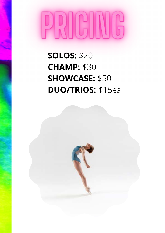# 

**SOLOS:** \$20 **CHAMP:** \$30 **SHOWCASE:** \$50 **DUO/TRIOS:** \$15ea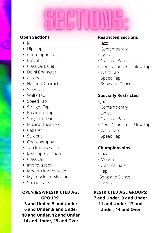- $\bullet$   $\vert$  azz
- Hip Hop
- Contemporary
- Lyrical
- Classical Ballet
- Demi Character
- Acrobatics
- National Character
- Slow Tap
- Waltz Tap
- Speed Tap
- Straight Tap
- Ensemble Tap
- Song and Dance
- Musical Theatre /
- Cabaret
- Student
- Choreography
- Tap Improvisation
- Jazz Improvisation
- Classical
- Improvisation
- Modern Improvisation
- Mystery Improvisation
- Special Needs

#### **OPEN & SP/RESTRICTED AGE GROUPS:**

**3 and Under, 5 and Under 6 and Under ,8 and Under 10 and Under, 12 and Under 14 and Under, 15 and Over**

#### **Open Sections Restricted Sections**

- Jazz
- Contemporary
- Lyrical
- Classical Ballet
- Demi Character Slow Tap
- Waltz Tap
- Speed Tap
- Song and Dance

#### **Specially Restricted**

- Jazz
- Contemporary
- Lyrical
- Classical Ballet
- Demi Character Slow Tap
- Waltz Tap
- Speed Tap

#### **Championships**

- Jazz
- Modern
- Classical Ballet
- Tap
- •Song and Dance Showcase

#### **RESTRICTED AGE GROUPS:**

**7 and Under, 9 and Under 11 and Under, 13 and Under, 14 and Over**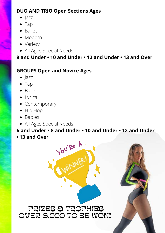### **DUO AND TRIO Open Sections Ages**

- Jazz
- Tap
- Ballet
- Modern
- Variety
- All Ages Special Needs

**8 and Under • 10 and Under • 12 and Under • 13 and Over**

### **GROUPS Open and Novice Ages**

- $\bullet$  Jazz
- Tap
- Ballet
- Lyrical
- Contemporary
- Hip Hop
- Babies
- All Ages Special Needs

#### **6 and Under • 8 and Under • 10 and Under • 12 and Under • 13 and Over**



You're A